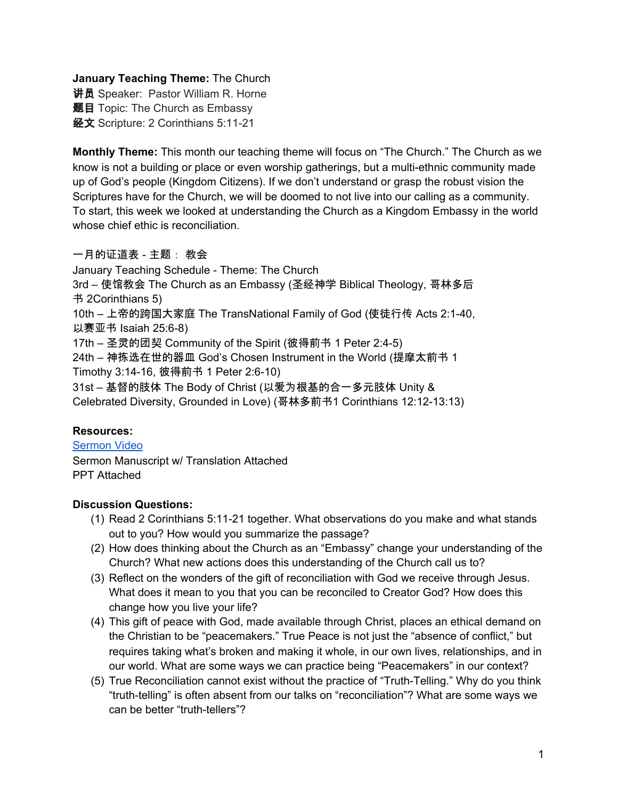**January Teaching Theme:** The Church

**讲员** Speaker: Pastor William R. Horne 题目 Topic: The Church as Embassy 经文 Scripture: 2 Corinthians 5:11-21

**Monthly Theme:** This month our teaching theme will focus on "The Church." The Church as we know is not a building or place or even worship gatherings, but a multi-ethnic community made up of God's people (Kingdom Citizens). If we don't understand or grasp the robust vision the Scriptures have for the Church, we will be doomed to not live into our calling as a community. To start, this week we looked at understanding the Church as a Kingdom Embassy in the world whose chief ethic is reconciliation.

# 一月的证道表 - 主题: 教会

January Teaching Schedule - Theme: The Church 3rd – 使馆教会 The Church as an Embassy (圣经神学 Biblical Theology, 哥林多后 书 2Corinthians 5) 10th – 上帝的跨国大家庭 The TransNational Family of God (使徒行传 Acts 2:1-40, 以赛亚书 Isaiah 25:6-8) 17th – 圣灵的团契 Community of the Spirit (彼得前书 1 Peter 2:4-5) 24th – 神拣选在世的器皿 God's Chosen Instrument in the World (提摩太前书 1 Timothy 3:14-16, 彼得前书 1 Peter 2:6-10) 31st – 基督的肢体 The Body of Christ (以爱为根基的合一多元肢体 Unity & Celebrated Diversity, Grounded in Love) (哥林多前书1 Corinthians 12:12-13:13)

# **Resources:**

[Sermon](https://www.youtube.com/watch?v=9yI7irUFjy4) Video Sermon Manuscript w/ Translation Attached PPT Attached

# **Discussion Questions:**

- (1) Read 2 Corinthians 5:11-21 together. What observations do you make and what stands out to you? How would you summarize the passage?
- (2) How does thinking about the Church as an "Embassy" change your understanding of the Church? What new actions does this understanding of the Church call us to?
- (3) Reflect on the wonders of the gift of reconciliation with God we receive through Jesus. What does it mean to you that you can be reconciled to Creator God? How does this change how you live your life?
- (4) This gift of peace with God, made available through Christ, places an ethical demand on the Christian to be "peacemakers." True Peace is not just the "absence of conflict," but requires taking what's broken and making it whole, in our own lives, relationships, and in our world. What are some ways we can practice being "Peacemakers" in our context?
- (5) True Reconciliation cannot exist without the practice of "Truth-Telling." Why do you think "truth-telling" is often absent from our talks on "reconciliation"? What are some ways we can be better "truth-tellers"?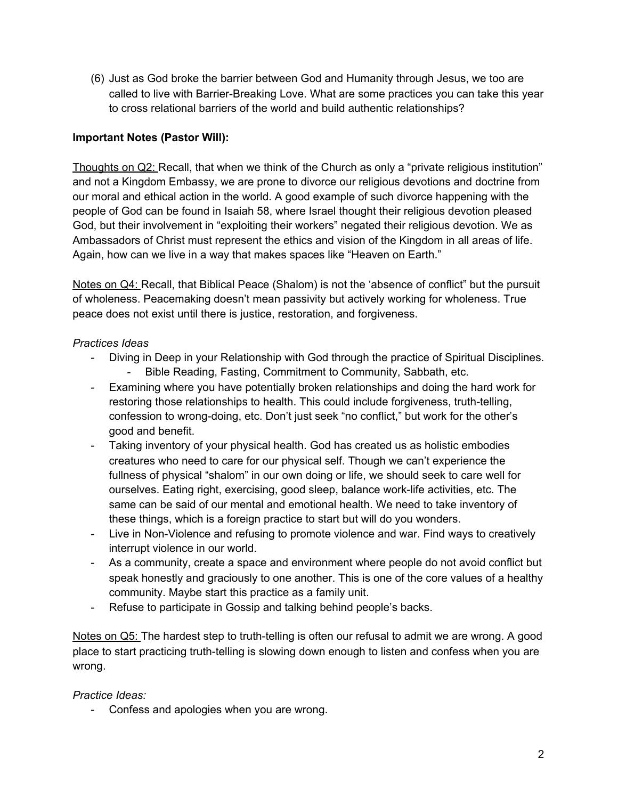(6) Just as God broke the barrier between God and Humanity through Jesus, we too are called to live with Barrier-Breaking Love. What are some practices you can take this year to cross relational barriers of the world and build authentic relationships?

# **Important Notes (Pastor Will):**

Thoughts on Q2: Recall, that when we think of the Church as only a "private religious institution" and not a Kingdom Embassy, we are prone to divorce our religious devotions and doctrine from our moral and ethical action in the world. A good example of such divorce happening with the people of God can be found in Isaiah 58, where Israel thought their religious devotion pleased God, but their involvement in "exploiting their workers" negated their religious devotion. We as Ambassadors of Christ must represent the ethics and vision of the Kingdom in all areas of life. Again, how can we live in a way that makes spaces like "Heaven on Earth."

Notes on Q4: Recall, that Biblical Peace (Shalom) is not the 'absence of conflict" but the pursuit of wholeness. Peacemaking doesn't mean passivity but actively working for wholeness. True peace does not exist until there is justice, restoration, and forgiveness.

### *Practices Ideas*

- Diving in Deep in your Relationship with God through the practice of Spiritual Disciplines.
	- Bible Reading, Fasting, Commitment to Community, Sabbath, etc.
- Examining where you have potentially broken relationships and doing the hard work for restoring those relationships to health. This could include forgiveness, truth-telling, confession to wrong-doing, etc. Don't just seek "no conflict," but work for the other's good and benefit.
- Taking inventory of your physical health. God has created us as holistic embodies creatures who need to care for our physical self. Though we can't experience the fullness of physical "shalom" in our own doing or life, we should seek to care well for ourselves. Eating right, exercising, good sleep, balance work-life activities, etc. The same can be said of our mental and emotional health. We need to take inventory of these things, which is a foreign practice to start but will do you wonders.
- Live in Non-Violence and refusing to promote violence and war. Find ways to creatively interrupt violence in our world.
- As a community, create a space and environment where people do not avoid conflict but speak honestly and graciously to one another. This is one of the core values of a healthy community. Maybe start this practice as a family unit.
- Refuse to participate in Gossip and talking behind people's backs.

Notes on Q5: The hardest step to truth-telling is often our refusal to admit we are wrong. A good place to start practicing truth-telling is slowing down enough to listen and confess when you are wrong.

### *Practice Ideas:*

- Confess and apologies when you are wrong.